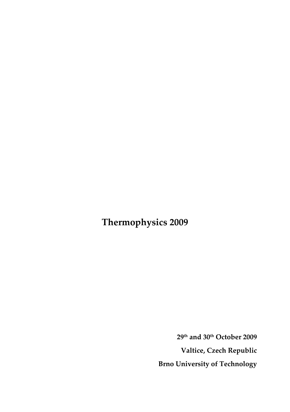**Thermophysics 2009**

**29th and 30th October 2009 Valtice, Czech Republic Brno University of Technology**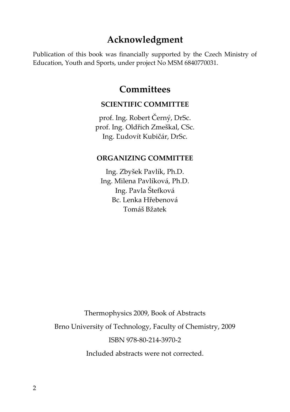### **Acknowledgment**

Publication of this book was financially supported by the Czech Ministry of Education, Youth and Sports, under project No MSM 6840770031.

### **Committees**

### **SCIENTIFIC COMMITTEE**

prof. Ing. Robert Černý, DrSc. prof. Ing. Oldřich Zmeškal, CSc. Ing. Ľudovít Kubičár, DrSc.

### **ORGANIZING COMMITTEE**

Ing. Zbyšek Pavlík, Ph.D. Ing. Milena Pavlíková, Ph.D. Ing. Pavla Štefková Bc. Lenka Hřebenová Tomáš Bžatek

Thermophysics 2009, Book of Abstracts

Brno University of Technology, Faculty of Chemistry, 2009

ISBN 978‐80‐214‐3970‐2

Included abstracts were not corrected.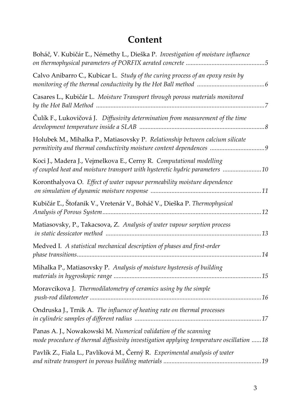# **Content**

| Boháč, V. Kubičár Ľ., Némethy L., Dieška P. Investigation of moisture influence                                                                            |
|------------------------------------------------------------------------------------------------------------------------------------------------------------|
| Calvo Anibarro C., Kubicar L. Study of the curing process of an epoxy resin by                                                                             |
| Casares L., Kubičár L. Moisture Transport through porous materials monitored                                                                               |
| Čulík F., Lukovičová J. Diffusivity determination from measurement of the time                                                                             |
| Holubek M., Mihalka P., Matiasovsky P. Relationship between calcium silicate                                                                               |
| Koci J., Madera J., Vejmelkova E., Cerny R. Computational modelling<br>of coupled heat and moisture transport with hysteretic hydric parameters 10         |
| Koronthalyova O. Effect of water vapour permeability moisture dependence                                                                                   |
| Kubičár Ľ., Štofanik V., Vretenár V., Boháč V., Dieška P. Thermophysical                                                                                   |
| Matiasovsky, P., Takacsova, Z. Analysis of water vapour sorption process                                                                                   |
| Medved I. A statistical mechanical description of phases and first-order                                                                                   |
| Mihalka P., Matiasovsky P. Analysis of moisture hysteresis of building                                                                                     |
| Moravcikova J. Thermodilatometry of ceramics using by the simple                                                                                           |
| Ondruska J., Trnik A. The influence of heating rate on thermal processes                                                                                   |
| Panas A. J., Nowakowski M. Numerical validation of the scanning<br>mode procedure of thermal diffusivity investigation applying temperature oscillation 18 |
| Pavlík Z., Fiala L., Pavlíková M., Černý R. Experimental analysis of water                                                                                 |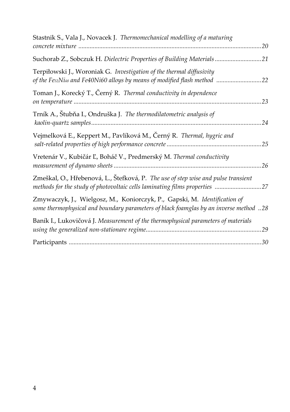| Stastnik S., Vala J., Novacek J. Thermomechanical modelling of a maturing                                                                                          |
|--------------------------------------------------------------------------------------------------------------------------------------------------------------------|
| Suchorab Z., Sobczuk H. Dielectric Properties of Building Materials21                                                                                              |
| Terpiłowski J., Woroniak G. Investigation of the thermal diffusivity<br>of the Fes2Ni48 and Fe40Ni60 alloys by means of modified flash method<br>.22               |
| Toman J., Korecký T., Černý R. Thermal conductivity in dependence<br>.23                                                                                           |
| Trník A., Štubňa I., Ondruška J. The thermodilatometric analysis of                                                                                                |
| Vejmelková E., Keppert M., Pavlíková M., Černý R. <i>Thermal, hygric and</i>                                                                                       |
| Vretenár V., Kubičár Ľ, Boháč V., Predmerský M. Thermal conductivity                                                                                               |
| Zmeškal, O., Hřebenová, L., Štefková, P. The use of step wise and pulse transient<br>methods for the study of photovoltaic cells laminating films properties 27    |
| Zmywaczyk, J., Wielgosz, M., Koniorczyk, P., Gapski, M. Identification of<br>some thermophysical and boundary parameters of black foamglas by an inverse method 28 |
| Baník I., Lukovičová J. Measurement of the thermophysical parameters of materials                                                                                  |
|                                                                                                                                                                    |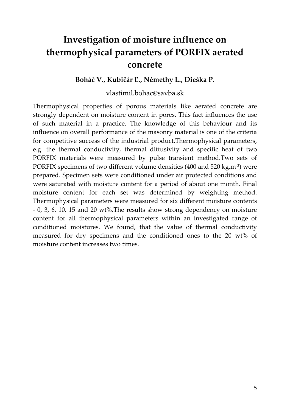# **Investigation of moisture influence on thermophysical parameters of PORFIX aerated concrete**

#### **Boháč V., Kubičár Ľ., Némethy L., Dieška P.**

#### vlastimil.bohac@savba.sk

Thermophysical properties of porous materials like aerated concrete are strongly dependent on moisture content in pores. This fact influences the use of such material in a practice. The knowledge of this behaviour and its influence on overall performance of the masonry material is one of the criteria for competitive success of the industrial product.Thermophysical parameters, e.g. the thermal conductivity, thermal diffusivity and specific heat of two PORFIX materials were measured by pulse transient method.Two sets of PORFIX specimens of two different volume densities (400 and 520 kg.m<sup>-3</sup>) were prepared. Specimen sets were conditioned under air protected conditions and were saturated with moisture content for a period of about one month. Final moisture content for each set was determined by weighting method. Thermophysical parameters were measured for six different moisture contents ‐ 0, 3, 6, 10, 15 and 20 wt%.The results show strong dependency on moisture content for all thermophysical parameters within an investigated range of conditioned moistures. We found, that the value of thermal conductivity measured for dry specimens and the conditioned ones to the 20 wt% of moisture content increases two times.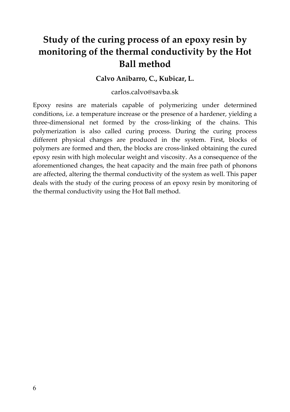# **Study of the curing process of an epoxy resin by monitoring of the thermal conductivity by the Hot Ball method**

#### **Calvo Anibarro, C., Kubicar, L.**

#### carlos.calvo@savba.sk

Epoxy resins are materials capable of polymerizing under determined conditions, i.e. a temperature increase or the presence of a hardener, yielding a three‐dimensional net formed by the cross‐linking of the chains. This polymerization is also called curing process. During the curing process different physical changes are produced in the system. First, blocks of polymers are formed and then, the blocks are cross‐linked obtaining the cured epoxy resin with high molecular weight and viscosity. As a consequence of the aforementioned changes, the heat capacity and the main free path of phonons are affected, altering the thermal conductivity of the system as well. This paper deals with the study of the curing process of an epoxy resin by monitoring of the thermal conductivity using the Hot Ball method.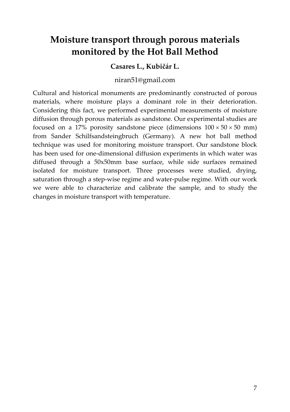# **Moisture transport through porous materials monitored by the Hot Ball Method**

### **Casares L., Kubičár L.**

### niran51@gmail.com

Cultural and historical monuments are predominantly constructed of porous materials, where moisture plays a dominant role in their deterioration. Considering this fact, we performed experimental measurements of moisture diffusion through porous materials as sandstone. Our experimental studies are focused on a 17% porosity sandstone piece (dimensions  $100 \times 50 \times 50$  mm) from Sander Schilfsandsteingbruch (Germany). A new hot ball method technique was used for monitoring moisture transport. Our sandstone block has been used for one-dimensional diffusion experiments in which water was diffused through a 50x50mm base surface, while side surfaces remained isolated for moisture transport. Three processes were studied, drying, saturation through a step‐wise regime and water‐pulse regime. With our work we were able to characterize and calibrate the sample, and to study the changes in moisture transport with temperature.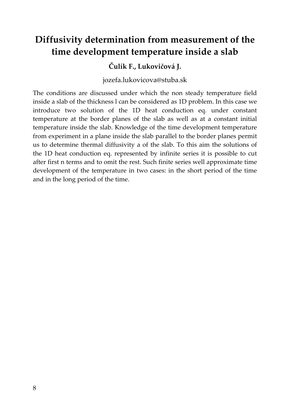# **Diffusivity determination from measurement of the time development temperature inside a slab**

### **Čulík F., Lukovičová J.**

jozefa.lukovicova@stuba.sk

The conditions are discussed under which the non steady temperature field inside a slab of the thickness l can be considered as 1D problem. In this case we introduce two solution of the 1D heat conduction eq. under constant temperature at the border planes of the slab as well as at a constant initial temperature inside the slab. Knowledge of the time development temperature from experiment in a plane inside the slab parallel to the border planes permit us to determine thermal diffusivity a of the slab. To this aim the solutions of the 1D heat conduction eq. represented by infinite series it is possible to cut after first n terms and to omit the rest. Such finite series well approximate time development of the temperature in two cases: in the short period of the time and in the long period of the time.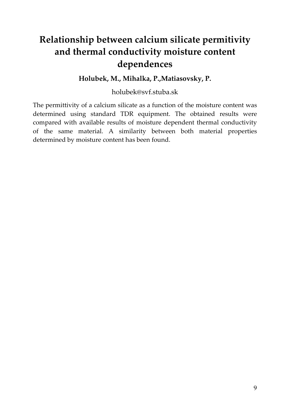# **Relationship between calcium silicate permitivity and thermal conductivity moisture content dependences**

#### **Holubek, M., Mihalka, P.,Matiasovsky, P.**

holubek@svf.stuba.sk

The permittivity of a calcium silicate as a function of the moisture content was determined using standard TDR equipment. The obtained results were compared with available results of moisture dependent thermal conductivity of the same material. A similarity between both material properties determined by moisture content has been found.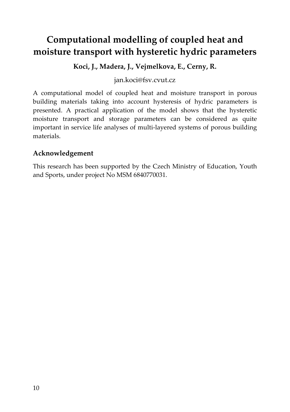# **Computational modelling of coupled heat and moisture transport with hysteretic hydric parameters**

**Koci, J., Madera, J., Vejmelkova, E., Cerny, R.**

jan.koci@fsv.cvut.cz

A computational model of coupled heat and moisture transport in porous building materials taking into account hysteresis of hydric parameters is presented. A practical application of the model shows that the hysteretic moisture transport and storage parameters can be considered as quite important in service life analyses of multi‐layered systems of porous building materials.

### **Acknowledgement**

This research has been supported by the Czech Ministry of Education, Youth and Sports, under project No MSM 6840770031.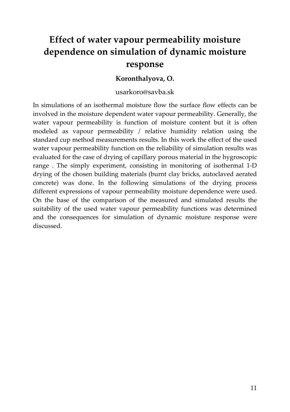# **Effect of water vapour permeability moisture dependence on simulation of dynamic moisture response**

#### **Koronthalyova, O.**

#### usarkoro@savba.sk

In simulations of an isothermal moisture flow the surface flow effects can be involved in the moisture dependent water vapour permeability. Generally, the water vapour permeability is function of moisture content but it is often modeled as vapour permeability / relative humidity relation using the standard cup method measurements results. In this work the effect of the used water vapour permeability function on the reliability of simulation results was evaluated for the case of drying of capillary porous material in the hygroscopic range . The simply experiment, consisting in monitoring of isothermal 1‐D drying of the chosen building materials (burnt clay bricks, autoclaved aerated concrete) was done. In the following simulations of the drying process different expressions of vapour permeability moisture dependence were used. On the base of the comparison of the measured and simulated results the suitability of the used water vapour permeability functions was determined and the consequences for simulation of dynamic moisture response were discussed.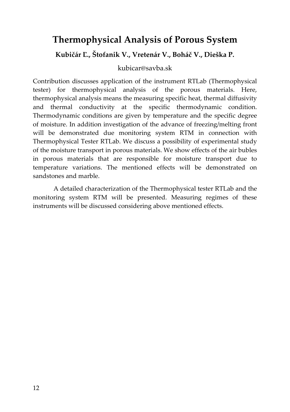## **Thermophysical Analysis of Porous System**

**Kubičár Ľ., Štofanik V., Vretenár V., Boháč V., Dieška P.**

#### kubicar@savba.sk

Contribution discusses application of the instrument RTLab (Thermophysical tester) for thermophysical analysis of the porous materials. Here, thermophysical analysis means the measuring specific heat, thermal diffusivity and thermal conductivity at the specific thermodynamic condition. Thermodynamic conditions are given by temperature and the specific degree of moisture. In addition investigation of the advance of freezing/melting front will be demonstrated due monitoring system RTM in connection with Thermophysical Tester RTLab. We discuss a possibility of experimental study of the moisture transport in porous materials. We show effects of the air bubles in porous materials that are responsible for moisture transport due to temperature variations. The mentioned effects will be demonstrated on sandstones and marble.

A detailed characterization of the Thermophysical tester RTLab and the monitoring system RTM will be presented. Measuring regimes of these instruments will be discussed considering above mentioned effects.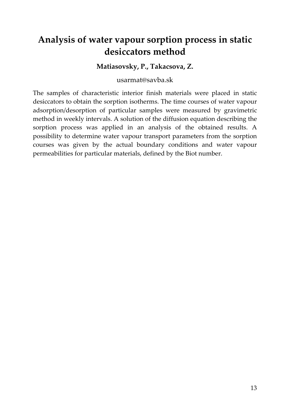# **Analysis of water vapour sorption process in static desiccators method**

**Matiasovsky, P., Takacsova, Z.**

usarmat@savba.sk

The samples of characteristic interior finish materials were placed in static desiccators to obtain the sorption isotherms. The time courses of water vapour adsorption/desorption of particular samples were measured by gravimetric method in weekly intervals. A solution of the diffusion equation describing the sorption process was applied in an analysis of the obtained results. A possibility to determine water vapour transport parameters from the sorption courses was given by the actual boundary conditions and water vapour permeabilities for particular materials, defined by the Biot number.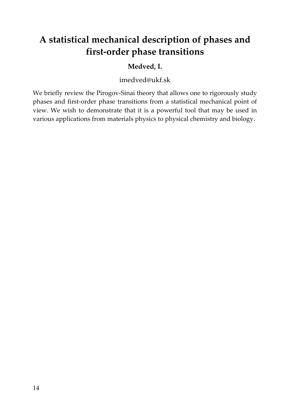# **A statistical mechanical description of phases and first‐order phase transitions**

### **Medved, I.**

imedved@ukf.sk

We briefly review the Pirogov-Sinai theory that allows one to rigorously study phases and first‐order phase transitions from a statistical mechanical point of view. We wish to demonstrate that it is a powerful tool that may be used in various applications from materials physics to physical chemistry and biology.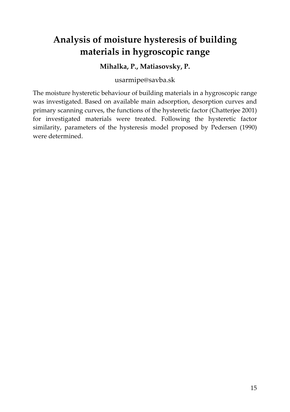# **Analysis of moisture hysteresis of building materials in hygroscopic range**

### **Mihalka, P., Matiasovsky, P.**

usarmipe@savba.sk

The moisture hysteretic behaviour of building materials in a hygroscopic range was investigated. Based on available main adsorption, desorption curves and primary scanning curves, the functions of the hysteretic factor (Chatterjee 2001) for investigated materials were treated. Following the hysteretic factor similarity, parameters of the hysteresis model proposed by Pedersen (1990) were determined.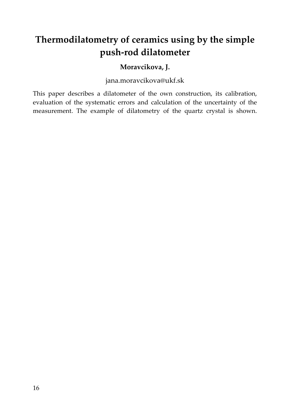# **Thermodilatometry of ceramics using by the simple push‐rod dilatometer**

### **Moravcikova, J.**

jana.moravcikova@ukf.sk

This paper describes a dilatometer of the own construction, its calibration, evaluation of the systematic errors and calculation of the uncertainty of the measurement. The example of dilatometry of the quartz crystal is shown.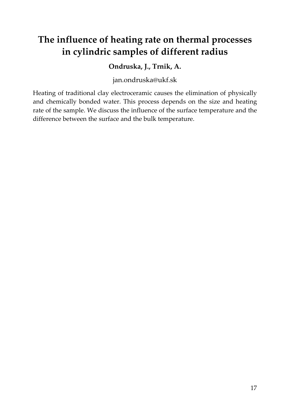# **The influence of heating rate on thermal processes in cylindric samples of different radius**

### **Ondruska, J., Trnik, A.**

jan.ondruska@ukf.sk

Heating of traditional clay electroceramic causes the elimination of physically and chemically bonded water. This process depends on the size and heating rate of the sample. We discuss the influence of the surface temperature and the difference between the surface and the bulk temperature.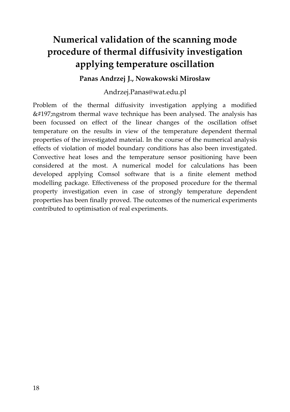# **Numerical validation of the scanning mode procedure of thermal diffusivity investigation applying temperature oscillation**

**Panas Andrzej J., Nowakowski Mirosław**

Andrzej.Panas@wat.edu.pl

Problem of the thermal diffusivity investigation applying a modified  $&\#197$ ;ngstrom thermal wave technique has been analysed. The analysis has been focussed on effect of the linear changes of the oscillation offset temperature on the results in view of the temperature dependent thermal properties of the investigated material. In the course of the numerical analysis effects of violation of model boundary conditions has also been investigated. Convective heat loses and the temperature sensor positioning have been considered at the most. A numerical model for calculations has been developed applying Comsol software that is a finite element method modelling package. Effectiveness of the proposed procedure for the thermal property investigation even in case of strongly temperature dependent properties has been finally proved. The outcomes of the numerical experiments contributed to optimisation of real experiments.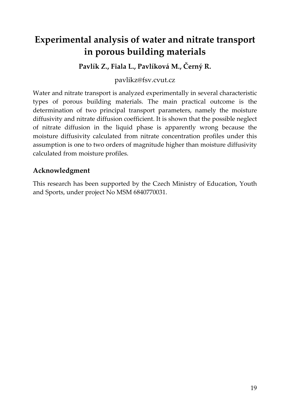# **Experimental analysis of water and nitrate transport in porous building materials**

**Pavlík Z., Fiala L., Pavlíková M., Černý R.**

pavlikz@fsv.cvut.cz

Water and nitrate transport is analyzed experimentally in several characteristic types of porous building materials. The main practical outcome is the determination of two principal transport parameters, namely the moisture diffusivity and nitrate diffusion coefficient. It is shown that the possible neglect of nitrate diffusion in the liquid phase is apparently wrong because the moisture diffusivity calculated from nitrate concentration profiles under this assumption is one to two orders of magnitude higher than moisture diffusivity calculated from moisture profiles.

### **Acknowledgment**

This research has been supported by the Czech Ministry of Education, Youth and Sports, under project No MSM 6840770031.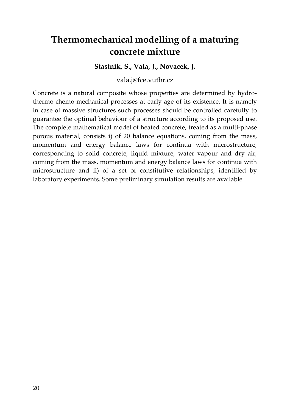# **Thermomechanical modelling of a maturing concrete mixture**

**Stastnik, S., Vala, J., Novacek, J.**

vala.j@fce.vutbr.cz

Concrete is a natural composite whose properties are determined by hydro‐ thermo-chemo-mechanical processes at early age of its existence. It is namely in case of massive structures such processes should be controlled carefully to guarantee the optimal behaviour of a structure according to its proposed use. The complete mathematical model of heated concrete, treated as a multi-phase porous material, consists i) of 20 balance equations, coming from the mass, momentum and energy balance laws for continua with microstructure, corresponding to solid concrete, liquid mixture, water vapour and dry air, coming from the mass, momentum and energy balance laws for continua with microstructure and ii) of a set of constitutive relationships, identified by laboratory experiments. Some preliminary simulation results are available.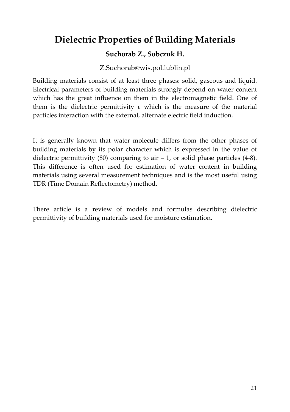# **Dielectric Properties of Building Materials**

### **Suchorab Z., Sobczuk H.**

### Z.Suchorab@wis.pol.lublin.pl

Building materials consist of at least three phases: solid, gaseous and liquid. Electrical parameters of building materials strongly depend on water content which has the great influence on them in the electromagnetic field. One of them is the dielectric permittivity  $\varepsilon$  which is the measure of the material particles interaction with the external, alternate electric field induction.

It is generally known that water molecule differs from the other phases of building materials by its polar character which is expressed in the value of dielectric permittivity  $(80)$  comparing to air  $-1$ , or solid phase particles  $(4-8)$ . This difference is often used for estimation of water content in building materials using several measurement techniques and is the most useful using TDR (Time Domain Reflectometry) method.

There article is a review of models and formulas describing dielectric permittivity of building materials used for moisture estimation.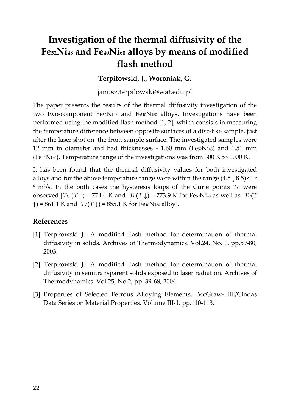# **Investigation of the thermal diffusivity of the Fe52Ni48 and Fe40Ni60 alloys by means of modified flash method**

### **Terpiłowski, J., Woroniak, G.**

janusz.terpilowski@wat.edu.pl

The paper presents the results of the thermal diffusivity investigation of the two two‐component Fe52Ni48 and Fe40Ni60 alloys. Investigations have been performed using the modified flash method [1, 2], which consists in measuring the temperature difference between opposite surfaces of a disc‐like sample, just after the laser shot on the front sample surface. The investigated samples were 12 mm in diameter and had thicknesses  $-1.60$  mm (Fe $s_2$ Ni<sub>48</sub>) and 1.51 mm (Fe40Ni60). Temperature range of the investigations was from 300 K to 1000 K.

It has been found that the thermal diffusivity values for both investigated alloys and for the above temperature range were within the range  $(4.5, 8.5) \times 10^{-7}$  $6 \text{ m}$ <sup>2</sup>/s. In the both cases the hysteresis loops of the Curie points *Tc* were observed  $[ T_C (T ) ] = 774.4 K$  and  $T_C (T ) = 773.9 K$  for FeszNi48 as well as  $T_C (T )$ ↑) = 861.1 K and  $T C(T \downarrow)$  = 855.1 K for Fe<sub>40</sub>Ni<sub>60</sub> alloy].

#### **References**

- [1] Terpiłowski J.: A modified flash method for determination of thermal diffusivity in solids. Archives of Thermodynamics. Vol.24, No. 1, pp.59‐80, 2003.
- [2] Terpiłowski J.: A modified flash method for determination of thermal diffusivity in semitransparent solids exposed to laser radiation. Archives of Thermodynamics. Vol.25, No.2, pp. 39‐68, 2004.
- [3] Properties of Selected Ferrous Alloying Elements,. McGraw-Hill/Cindas Data Series on Material Properties. Volume III‐1. pp.110‐113.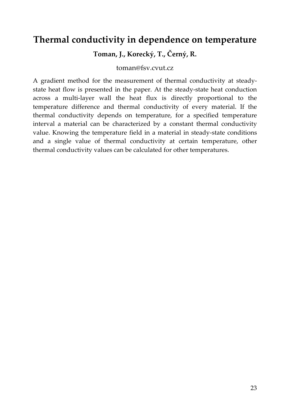### **Thermal conductivity in dependence on temperature**

**Toman, J., Korecký, T., Černý, R.**

toman@fsv.cvut.cz

A gradient method for the measurement of thermal conductivity at steady‐ state heat flow is presented in the paper. At the steady-state heat conduction across a multi‐layer wall the heat flux is directly proportional to the temperature difference and thermal conductivity of every material. If the thermal conductivity depends on temperature, for a specified temperature interval a material can be characterized by a constant thermal conductivity value. Knowing the temperature field in a material in steady‐state conditions and a single value of thermal conductivity at certain temperature, other thermal conductivity values can be calculated for other temperatures.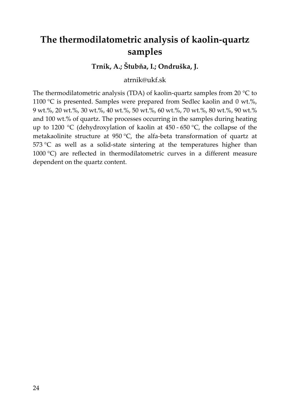# **The thermodilatometric analysis of kaolin‐quartz samples**

### **Trník, A.; Štubňa, I.; Ondruška, J.**

atrnik@ukf.sk

The thermodilatometric analysis (TDA) of kaolin-quartz samples from 20  $\degree$ C to 1100 °C is presented. Samples were prepared from Sedlec kaolin and 0 wt.%, 9 wt.%, 20 wt.%, 30 wt.%, 40 wt.%, 50 wt.%, 60 wt.%, 70 wt.%, 80 wt.%, 90 wt.% and 100 wt.% of quartz. The processes occurring in the samples during heating up to 1200 °C (dehydroxylation of kaolin at  $450 - 650$  °C, the collapse of the metakaolinite structure at 950 °C, the alfa‐beta transformation of quartz at  $573 \text{ °C}$  as well as a solid-state sintering at the temperatures higher than 1000 °C) are reflected in thermodilatometric curves in a different measure dependent on the quartz content.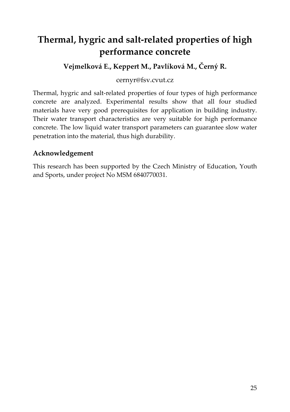# **Thermal, hygric and salt‐related properties of high performance concrete**

**Vejmelková E., Keppert M., Pavlíková M., Černý R.**

#### cernyr@fsv.cvut.cz

Thermal, hygric and salt‐related properties of four types of high performance concrete are analyzed. Experimental results show that all four studied materials have very good prerequisites for application in building industry. Their water transport characteristics are very suitable for high performance concrete. The low liquid water transport parameters can guarantee slow water penetration into the material, thus high durability.

### **Acknowledgement**

This research has been supported by the Czech Ministry of Education, Youth and Sports, under project No MSM 6840770031.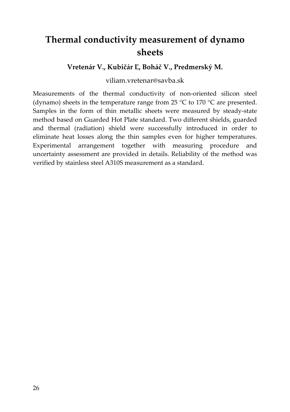# **Thermal conductivity measurement of dynamo sheets**

#### **Vretenár V., Kubičár Ľ, Boháč V., Predmerský M.**

#### viliam.vretenar@savba.sk

Measurements of the thermal conductivity of non-oriented silicon steel (dynamo) sheets in the temperature range from 25  $\degree$ C to 170  $\degree$ C are presented. Samples in the form of thin metallic sheets were measured by steady-state method based on Guarded Hot Plate standard. Two different shields, guarded and thermal (radiation) shield were successfully introduced in order to eliminate heat losses along the thin samples even for higher temperatures. Experimental arrangement together with measuring procedure and uncertainty assessment are provided in details. Reliability of the method was verified by stainless steel A310S measurement as a standard.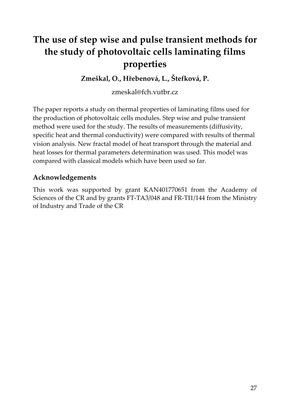# **The use of step wise and pulse transient methods for the study of photovoltaic cells laminating films properties**

**Zmeškal, O., Hřebenová, L., Štefková, P.**

zmeskal@fch.vutbr.cz

The paper reports a study on thermal properties of laminating films used for the production of photovoltaic cells modules. Step wise and pulse transient method were used for the study. The results of measurements (diffusivity, specific heat and thermal conductivity) were compared with results of thermal vision analysis. New fractal model of heat transport through the material and heat losses for thermal parameters determination was used. This model was compared with classical models which have been used so far.

### **Acknowledgements**

This work was supported by grant KAN401770651 from the Academy of Sciences of the CR and by grants FT‐TA3/048 and FR‐TI1/144 from the Ministry of Industry and Trade of the CR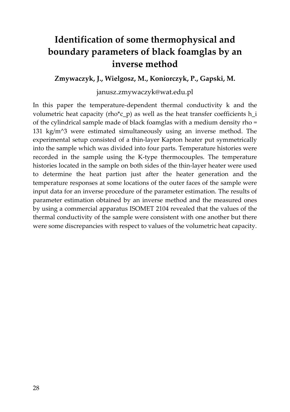# **Identification of some thermophysical and boundary parameters of black foamglas by an inverse method**

**Zmywaczyk, J., Wielgosz, M., Koniorczyk, P., Gapski, M.**

#### janusz.zmywaczyk@wat.edu.pl

In this paper the temperature‐dependent thermal conductivity k and the volumetric heat capacity (rho<sup>\*</sup>c p) as well as the heat transfer coefficients h i of the cylindrical sample made of black foamglas with a medium density rho = 131 kg/m^3 were estimated simultaneously using an inverse method. The experimental setup consisted of a thin‐layer Kapton heater put symmetrically into the sample which was divided into four parts. Temperature histories were recorded in the sample using the K‐type thermocouples. The temperature histories located in the sample on both sides of the thin‐layer heater were used to determine the heat partion just after the heater generation and the temperature responses at some locations of the outer faces of the sample were input data for an inverse procedure of the parameter estimation. The results of parameter estimation obtained by an inverse method and the measured ones by using a commercial apparatus ISOMET 2104 revealed that the values of the thermal conductivity of the sample were consistent with one another but there were some discrepancies with respect to values of the volumetric heat capacity.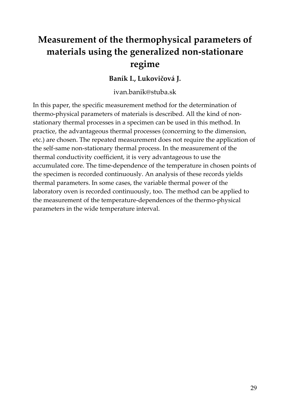# **Measurement of the thermophysical parameters of materials using the generalized non‐stationare regime**

### **Baník I., Lukovičová J.**

ivan.banik@stuba.sk

In this paper, the specific measurement method for the determination of thermo‐physical parameters of materials is described. All the kind of non‐ stationary thermal processes in a specimen can be used in this method. In practice, the advantageous thermal processes (concerning to the dimension, etc.) are chosen. The repeated measurement does not require the application of the self-same non-stationary thermal process. In the measurement of the thermal conductivity coefficient, it is very advantageous to use the accumulated core. The time‐dependence of the temperature in chosen points of the specimen is recorded continuously. An analysis of these records yields thermal parameters. In some cases, the variable thermal power of the laboratory oven is recorded continuously, too. The method can be applied to the measurement of the temperature‐dependences of the thermo‐physical parameters in the wide temperature interval.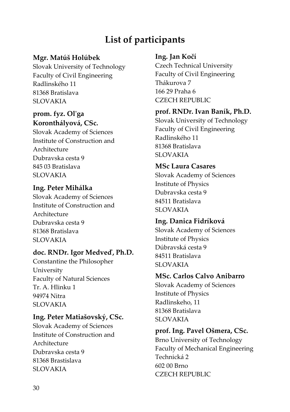# **List of participants**

### **Mgr. Matúš Holúbek**

Slovak University of Technology Faculty of Civil Engineering Radlinského 11 81368 Bratislava SLOVAKIA

### **prom. fyz. Olʹga Koronthályová, CSc.**

Slovak Academy of Sciences Institute of Construction and Architecture Dubravska cesta 9 845 03 Bratislava SLOVAKIA

### **Ing. Peter Mihálka**

Slovak Academy of Sciences Institute of Construction and Architecture Dubravska cesta 9 81368 Bratislava SLOVAKIA

### **doc. RNDr. Igor Medveď, Ph.D.**

Constantine the Philosopher University Faculty of Natural Sciences Tr. A. Hlinku 1 94974 Nitra SLOVAKIA

### **Ing. Peter Matiašovský, CSc.**

Slovak Academy of Sciences Institute of Construction and Architecture Dubravska cesta 9 81368 Brastislava SLOVAKIA

#### **Ing. Jan Kočí**

Czech Technical University Faculty of Civil Engineering Thákurova 7 166 29 Praha 6 CZECH REPUBLIC

### **prof. RNDr. Ivan Baník, Ph.D.**

Slovak University of Technology Faculty of Civil Engineering Radlinského 11 81368 Bratislava SLOVAKIA

### **MSc Laura Casares**

Slovak Academy of Sciences Institute of Physics Dubravska cesta 9 84511 Bratislava SLOVAKIA

### **Ing. Danica Fidríková**

Slovak Academy of Sciences Institute of Physics Dúbravská cesta 9 84511 Bratislava SLOVAKIA

### **MSc. Carlos Calvo Anibarro**

Slovak Academy of Sciences Institute of Physics Radlinskeho, 11 81368 Bratislava SLOVAKIA

**prof. Ing. Pavel Ošmera, CSc.** Brno University of Technology Faculty of Mechanical Engineering Technická 2 602 00 Brno CZECH REPUBLIC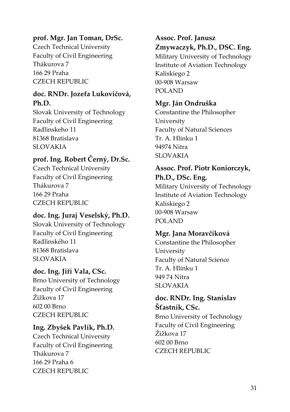### **prof. Mgr. Jan Toman, DrSc.**

Czech Technical University Faculty of Civil Engineering Thákurova 7 166 29 Praha CZECH REPUBLIC

### **doc. RNDr. Jozefa Lukovičová, Ph.D.**

Slovak University of Technology Faculty of Civil Engineering Radlinskeho 11 81368 Bratislava SLOVAKIA

### **prof. Ing. Robert Černý, Dr.Sc.**

Czech Technical University Faculty of Civil Engineering Thákurova 7 166 29 Praha CZECH REPUBLIC

### **doc. Ing. Juraj Veselský, Ph.D.**

Slovak University of Technology Faculty of Civil Engineering Radlinského 11 81368 Bratislava SLOVAKIA

### **doc. Ing. Jiří Vala, CSc.**

Brno University of Technology Faculty of Civil Engineering Žižkova 17 602 00 Brno CZECH REPUBLIC

### **Ing. Zbyšek Pavlík, Ph.D.**

Czech Technical University Faculty of Civil Engineering Thákurova 7 166 29 Praha 6 CZECH REPUBLIC

### **Assoc. Prof. Janusz Zmywaczyk, Ph.D., DSC. Eng.**

Military University of Technology Institute of Aviation Technology Kaliskiego 2 00‐908 Warsaw POLAND

### **Mgr. Ján Ondruška**

Constantine the Philosopher University Faculty of Natural Sciences Tr. A. Hlinku 1 94974 Nitra SLOVAKIA

### **Assoc. Prof. Piotr Koniorczyk, Ph.D., DSc. Eng.**

Military University of Technology Institute of Aviation Technology Kaliskiego 2 00‐908 Warsaw POLAND

### **Mgr. Jana Moravčíková**

Constantine the Philosopher University Faculty of Natural Science Tr. A. Hlinku 1 949 74 Nitra SLOVAKIA

### **doc. RNDr. Ing. Stanislav Šťastník, CSc.**

Brno University of Technology Faculty of Civil Engineering Žižkova 17 602 00 Brno CZECH REPUBLIC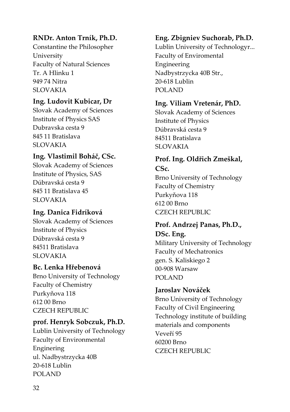### **RNDr. Anton Trník, Ph.D.**

Constantine the Philosopher University Faculty of Natural Sciences Tr. A Hlinku 1 949 74 Nitra SLOVAKIA

#### **Ing. Ludovit Kubicar, Dr**

Slovak Academy of Sciences Institute of Physics SAS Dubravska cesta 9 845 11 Bratislava SLOVAKIA

### **Ing. Vlastimil Boháč, CSc.**

Slovak Academy of Sciences Institute of Physics, SAS Dúbravská cesta 9 845 11 Bratislava 45 SLOVAKIA

### **Ing. Danica Fidríková**

Slovak Academy of Sciences Institute of Physics Dúbravská cesta 9 84511 Bratislava SLOVAKIA

### **Bc. Lenka Hřebenová**

Brno University of Technology Faculty of Chemistry Purkyňova 118 612 00 Brno CZECH REPUBLIC

### **prof. Henryk Sobczuk, Ph.D.**

Lublin University of Technology Faculty of Environmental Enginering ul. Nadbystrzycka 40B 20‐618 Lublin POLAND

#### **Eng. Zbigniev Suchorab, Ph.D.**

Lublin University of Technologyr... Faculty of Enviromental Engineering Nadbystrzycka 40B Str., 20‐618 Lublin POLAND

#### **Ing. Viliam Vretenár, PhD.**

Slovak Academy of Sciences Institute of Physics Dúbravská cesta 9 84511 Bratislava SLOVAKIA

### **Prof. Ing. Oldřich Zmeškal, CSc.**

Brno University of Technology Faculty of Chemistry Purkyňova 118 612 00 Brno CZECH REPUBLIC

#### **Prof. Andrzej Panas, Ph.D., DSc. Eng.**

Military University of Technology Faculty of Mechatronics gen. S. Kaliskiego 2 00‐908 Warsaw POLAND

### **Jaroslav Nováček**

Brno University of Technology Faculty of Civil Engineering Technology institute of building materials and components Veveří 95 60200 Brno CZECH REPUBLIC